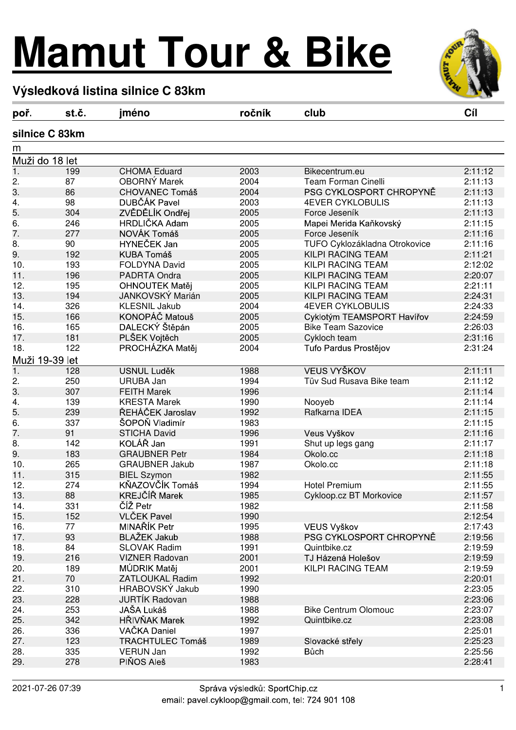## **Mamut Tour & Bike**



## **Výsledková listina silnice C 83km**

| poř.             | st.č.          | jméno                   | ročník       | club                          | Cíl     |
|------------------|----------------|-------------------------|--------------|-------------------------------|---------|
|                  | silnice C 83km |                         |              |                               |         |
| m                |                |                         |              |                               |         |
| Muži do 18 let   |                |                         |              |                               |         |
| $\overline{1}$ . | 199            | <b>CHOMA Eduard</b>     | 2003         | Bikecentrum.eu                | 2:11:12 |
| 2.               | 87             | OBORNÝ Marek            | 2004         | <b>Team Forman Cinelli</b>    | 2:11:13 |
| 3.               | 86             | <b>CHOVANEC Tomáš</b>   | 2004         | PSG CYKLOSPORT CHROPYNĚ       | 2:11:13 |
| 4.               | 98             | DUBČÁK Pavel            | 2003         | <b>4EVER CYKLOBULIS</b>       | 2:11:13 |
| 5.               | 304            | ZVĚDĚLÍK Ondřej         | 2005         | Force Jeseník                 | 2:11:13 |
| 6.               | 246            | HRDLIČKA Adam           | 2005         | Mapei Merida Kaňkovský        | 2:11:15 |
| 7.               | 277            | NOVÁK Tomáš             | 2005         | Force Jeseník                 | 2:11:16 |
| 8.               | 90             | HYNEČEK Jan             | 2005         | TUFO Cyklozákladna Otrokovice | 2:11:16 |
| 9.               | 192            | <b>KUBA Tomáš</b>       | 2005         | KILPI RACING TEAM             | 2:11:21 |
| 10.              | 193            | <b>FOLDYNA David</b>    | 2005         | KILPI RACING TEAM             | 2:12:02 |
| 11.              | 196            | PADRTA Ondra            | 2005         | KILPI RACING TEAM             | 2:20:07 |
| 12.              | 195            | OHNOUTEK Matěj          | 2005         | KILPI RACING TEAM             | 2:21:11 |
| 13.              | 194            | JANKOVSKÝ Marián        | 2005         | KILPI RACING TEAM             | 2:24:31 |
| 14.              | 326            | <b>KLESNIL Jakub</b>    | 2004         | <b>4EVER CYKLOBULIS</b>       | 2:24:33 |
| 15.              | 166            | KONOPÁČ Matouš          | 2005         | Cyklotým TEAMSPORT Havířov    | 2:24:59 |
| 16.              | 165            | DALECKÝ Štěpán          | 2005         | <b>Bike Team Sazovice</b>     | 2:26:03 |
| 17.              | 181            | PLŠEK Vojtěch           | 2005         | Cykloch team                  | 2:31:16 |
| 18.              | 122            | PROCHÁZKA Matěj         | 2004         | Tufo Pardus Prostějov         | 2:31:24 |
| Muži 19-39 let   |                |                         |              |                               |         |
| $\overline{1}$ . | 128            | <b>USNUL Luděk</b>      | 1988         | <b>VEUS VYŠKOV</b>            | 2:11:11 |
| 2.               | 250            | <b>URUBA Jan</b>        | 1994         | Tüv Sud Rusava Bike team      | 2:11:12 |
| 3.               | 307            | <b>FEITH Marek</b>      | 1996         |                               | 2:11:14 |
| 4.               | 139            | <b>KRESTA Marek</b>     | 1990         | Nooyeb                        | 2:11:14 |
| 5.               | 239            | ŘEHÁČEK Jaroslav        | 1992         | Rafkarna IDEA                 | 2:11:15 |
| 6.               | 337            | ŠOPOŇ Vladimír          | 1983         |                               | 2:11:15 |
| 7.               | 91             | <b>STICHA David</b>     | 1996         | Veus Vyškov                   | 2:11:16 |
| 8.               | 142            | KOLÁŘ Jan               | 1991         | Shut up legs gang             | 2:11:17 |
| 9.               | 183            | <b>GRAUBNER Petr</b>    | 1984         | Okolo.cc                      | 2:11:18 |
| 10.              | 265            | <b>GRAUBNER Jakub</b>   | 1987         | Okolo.cc                      | 2:11:18 |
| 11.              | 315            | <b>BIEL Szymon</b>      | 1982         |                               | 2:11:55 |
| 12.              | 274            | KŇAZOVČÍK Tomáš         | 1994         | <b>Hotel Premium</b>          | 2:11:55 |
| 13.              | 88             | KREJČÍŘ Marek           | 1985         | Cykloop.cz BT Morkovice       | 2:11:57 |
| 14.              | 331            | ČÍŽ Petr                | 1982         |                               | 2:11:58 |
| 15.              | 152            | <b>VLČEK Pavel</b>      | 1990         |                               | 2:12:54 |
| 16.              | 77             | MINAŘÍK Petr            | 1995         | VEUS Vyškov                   | 2:17:43 |
| 17.              | 93             | <b>BLAŽEK Jakub</b>     | 1988         | PSG CYKLOSPORT CHROPYNĚ       | 2:19:56 |
| 18.              | 84             | SLOVAK Radim            | 1991         | Quintbike.cz                  | 2:19:59 |
| 19.              | 216            | <b>VIZNER Radovan</b>   | 2001         | TJ Házená Holešov             | 2:19:59 |
| 20.              | 189            | MÚDRIK Matěj            | 2001         | KILPI RACING TEAM             | 2:19:59 |
| 21.              | 70             | <b>ZATLOUKAL Radim</b>  | 1992         |                               | 2:20:01 |
|                  |                | HRABOVSKÝ Jakub         |              |                               | 2:23:05 |
| 22.<br>23.       | 310<br>228     | <b>JURTIK Radovan</b>   | 1990<br>1988 |                               | 2:23:06 |
|                  |                |                         |              |                               |         |
| 24.              | 253            | JAŠA Lukáš              | 1988         | <b>Bike Centrum Olomouc</b>   | 2:23:07 |
| 25.              | 342            | HŘIVŇAK Marek           | 1992         | Quintbike.cz                  | 2:23:08 |
| 26.              | 336            | VAČKA Daniel            | 1997         |                               | 2:25:01 |
| 27.              | 123            | <b>TRACHTULEC Tomáš</b> | 1989         | Slovacké střely               | 2:25:23 |
| 28.              | 335            | VERUN Jan               | 1992         | <b>Bůch</b>                   | 2:25:56 |
| 29.              | 278            | PIŇOS Aleš              | 1983         |                               | 2:28:41 |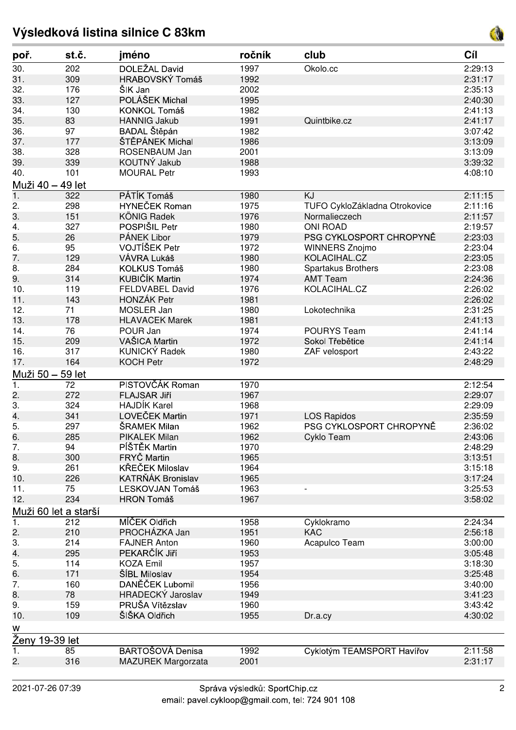## **Výsledková listina silnice C 83km**



| poř.                  | st.č. | jméno                  | ročník | club                          | Cíl     |  |  |
|-----------------------|-------|------------------------|--------|-------------------------------|---------|--|--|
| 30.                   | 202   | DOLEŽAL David          | 1997   | Okolo.cc                      | 2:29:13 |  |  |
| 31.                   | 309   | HRABOVSKÝ Tomáš        | 1992   |                               | 2:31:17 |  |  |
| 32.                   | 176   | ŠIK Jan                | 2002   |                               | 2:35:13 |  |  |
| 33.                   | 127   | POLÁŠEK Michal         | 1995   |                               | 2:40:30 |  |  |
| 34.                   | 130   | KONKOL Tomáš           | 1982   |                               | 2:41:13 |  |  |
| 35.                   | 83    | <b>HANNIG Jakub</b>    | 1991   | Quintbike.cz                  | 2:41:17 |  |  |
| 36.                   | 97    | BADAL Štěpán           | 1982   |                               | 3:07:42 |  |  |
| 37.                   | 177   | ŠTĚPÁNEK Michal        | 1986   |                               | 3:13:09 |  |  |
| 38.                   | 328   | ROSENBAUM Jan          | 2001   |                               | 3:13:09 |  |  |
| 39.                   | 339   | KOUTNÝ Jakub           | 1988   |                               | 3:39:32 |  |  |
| 40.                   | 101   | <b>MOURAL Petr</b>     | 1993   |                               | 4:08:10 |  |  |
| Muži 40 - 49 let      |       |                        |        |                               |         |  |  |
| $\overline{1}$ .      | 322   | PÁTÍK Tomáš            | 1980   | KJ                            | 2:11:15 |  |  |
| 2.                    | 298   | <b>HYNEČEK Roman</b>   | 1975   | TUFO CykloZákladna Otrokovice | 2:11:16 |  |  |
| 3.                    | 151   | KÖNIG Radek            | 1976   | Normalieczech                 | 2:11:57 |  |  |
| 4.                    | 327   | POSPIŠIL Petr          | 1980   | <b>ONI ROAD</b>               | 2:19:57 |  |  |
| 5.                    | 26    | PÁNEK Libor            | 1979   | PSG CYKLOSPORT CHROPYNĚ       | 2:23:03 |  |  |
| 6.                    | 95    | VOJTÍŠEK Petr          | 1972   | <b>WINNERS Znojmo</b>         | 2:23:04 |  |  |
| 7.                    | 129   | VÁVRA Lukáš            | 1980   | KOLACIHAL.CZ                  | 2:23:05 |  |  |
| 8.                    | 284   | <b>KOLKUS Tomáš</b>    | 1980   | Spartakus Brothers            | 2:23:08 |  |  |
| 9.                    | 314   | KUBIČÍK Martin         | 1974   | <b>AMT Team</b>               | 2:24:36 |  |  |
| 10.                   | 119   | FELDVABEL David        | 1976   | KOLACIHAL.CZ                  | 2:26:02 |  |  |
| 11.                   | 143   | <b>HONZÁK Petr</b>     | 1981   |                               | 2:26:02 |  |  |
| 12.                   | 71    | <b>MOSLER Jan</b>      | 1980   | Lokotechnika                  | 2:31:25 |  |  |
| 13.                   | 178   | <b>HLAVACEK Marek</b>  | 1981   |                               | 2:41:13 |  |  |
| 14.                   | 76    | POUR Jan               | 1974   | <b>POURYS Team</b>            | 2:41:14 |  |  |
| 15.                   | 209   | VAŠICA Martin          | 1972   | Sokol Třebětice               | 2:41:14 |  |  |
| 16.                   | 317   | KUNICKÝ Radek          | 1980   | ZAF velosport                 | 2:43:22 |  |  |
| 17.                   | 164   | <b>KOCH Petr</b>       | 1972   |                               | 2:48:29 |  |  |
| Muži 50 - 59 let      |       |                        |        |                               |         |  |  |
| 1.                    | 72    | PISTOVČÁK Roman        | 1970   |                               | 2:12:54 |  |  |
| 2.                    | 272   | <b>FLAJSAR Jiří</b>    | 1967   |                               | 2:29:07 |  |  |
| 3.                    | 324   | <b>HAJDÍK Karel</b>    | 1968   |                               | 2:29:09 |  |  |
| 4.                    | 341   | LOVEČEK Martin         | 1971   | <b>LOS Rapidos</b>            | 2:35:59 |  |  |
| 5.                    | 297   | ŠRAMEK Milan           | 1962   | PSG CYKLOSPORT CHROPYNĚ       | 2:36:02 |  |  |
| 6.                    | 285   | PIKALEK Milan          | 1962   | Cyklo Team                    | 2:43:06 |  |  |
| 7.                    | 94    | PÍŠTĚK Martin          | 1970   |                               | 2:48:29 |  |  |
| 8.                    | 300   | FRYČ Martin            | 1965   |                               | 3:13:51 |  |  |
| 9.                    | 261   | KŘEČEK Miloslav        | 1964   |                               | 3:15:18 |  |  |
| 10.                   | 226   | KATRŇÁK Bronislav      | 1965   |                               | 3:17:24 |  |  |
| 11.                   | 75    | <b>LESKOVJAN Tomáš</b> | 1963   |                               | 3:25:53 |  |  |
| 12.                   | 234   | <b>HRON Tomáš</b>      | 1967   |                               | 3:58:02 |  |  |
| Muži 60 let a starší  |       |                        |        |                               |         |  |  |
| 1.                    | 212   | MÍČEK Oldřich          | 1958   | Cyklokramo                    | 2:24:34 |  |  |
| 2.                    | 210   | PROCHÁZKA Jan          | 1951   | <b>KAC</b>                    | 2:56:18 |  |  |
| 3.                    | 214   | <b>FAJNER Anton</b>    | 1960   | Acapulco Team                 | 3:00:00 |  |  |
| 4.                    | 295   | PEKARČÍK Jiří          | 1953   |                               | 3:05:48 |  |  |
| 5.                    | 114   | <b>KOZA Emil</b>       | 1957   |                               | 3:18:30 |  |  |
| 6.                    | 171   | ŠÍBL Miloslav          | 1954   |                               | 3:25:48 |  |  |
| 7.                    | 160   | DANĚČEK Lubomil        | 1956   |                               | 3:40:00 |  |  |
| 8.                    | 78    | HRADECKÝ Jaroslav      | 1949   |                               | 3:41:23 |  |  |
| 9.                    | 159   | PRUŠA Vítězslav        | 1960   |                               | 3:43:42 |  |  |
| 10.                   | 109   | ŠIŠKA Oldřich          | 1955   | Dr.a.cy                       | 4:30:02 |  |  |
| W                     |       |                        |        |                               |         |  |  |
| <b>Ženy 19-39 let</b> |       |                        |        |                               |         |  |  |
| $\overline{1}$ .      | 85    | BARTOŠOVÁ Denisa       | 1992   | Cyklotým TEAMSPORT Havířov    | 2:11:58 |  |  |
| 2.                    | 316   | MAZUREK Margorzata     | 2001   |                               | 2:31:17 |  |  |
|                       |       |                        |        |                               |         |  |  |